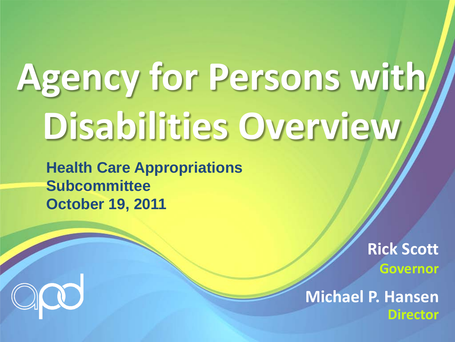## **Agency for Persons with Disabilities Overview**

**Health Care Appropriations Subcommittee October 19, 2011**

> **Rick Scott Governor**

**Michael P. Hansen Director** 

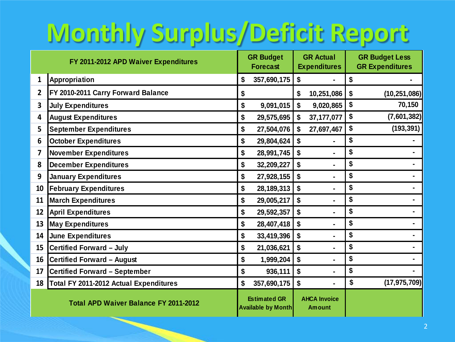### **Monthly Surplus/Deficit Report**

| FY 2011-2012 APD Waiver Expenditures |                                              | <b>GR Budget</b><br><b>Forecast</b> |                                                  | <b>GR Actual</b><br><b>Expenditures</b> |                                      | <b>GR Budget Less</b><br><b>GR Expenditures</b> |                |
|--------------------------------------|----------------------------------------------|-------------------------------------|--------------------------------------------------|-----------------------------------------|--------------------------------------|-------------------------------------------------|----------------|
| 1                                    | Appropriation                                | \$                                  | 357,690,175                                      | \$                                      |                                      | \$                                              |                |
| $\overline{2}$                       | FY 2010-2011 Carry Forward Balance           | \$                                  |                                                  | \$                                      | 10,251,086                           | \$                                              | (10, 251, 086) |
| 3                                    | <b>July Expenditures</b>                     | \$                                  | 9,091,015                                        | \$                                      | 9,020,865                            | \$                                              | 70,150         |
| 4                                    | <b>August Expenditures</b>                   | \$                                  | 29,575,695                                       | \$                                      | 37, 177, 077                         | \$                                              | (7,601,382)    |
| 5                                    | <b>September Expenditures</b>                | \$                                  | 27,504,076                                       | \$                                      | 27,697,467                           | \$                                              | (193, 391)     |
| 6                                    | <b>October Expenditures</b>                  | \$                                  | 29,804,624                                       |                                         |                                      | \$                                              |                |
| 7                                    | <b>November Expenditures</b>                 | \$                                  | 28,991,745                                       |                                         |                                      | \$                                              |                |
| 8                                    | <b>December Expenditures</b>                 | \$                                  | 32,209,227                                       | \$                                      | $\blacksquare$                       | \$                                              |                |
| 9                                    | <b>January Expenditures</b>                  | \$                                  | 27,928,155                                       | \$                                      |                                      | \$                                              |                |
| 10                                   | <b>February Expenditures</b>                 | \$                                  | 28, 189, 313                                     | \$                                      |                                      | \$                                              |                |
| 11                                   | <b>March Expenditures</b>                    | \$                                  | 29,005,217                                       | \$                                      | $\blacksquare$                       | \$                                              |                |
| 12                                   | <b>April Expenditures</b>                    | \$                                  | 29,592,357                                       | \$                                      | ٠                                    | \$                                              |                |
| 13                                   | <b>May Expenditures</b>                      | \$                                  | 28,407,418                                       | \$                                      |                                      | \$                                              |                |
| 14                                   | <b>June Expenditures</b>                     | \$                                  | 33,419,396                                       | \$                                      |                                      | \$                                              |                |
| 15                                   | <b>Certified Forward - July</b>              | \$                                  | 21,036,621                                       | \$                                      |                                      | \$                                              |                |
| 16 <sup>1</sup>                      | <b>Certified Forward - August</b>            | \$                                  | 1,999,204                                        | \$                                      | ٠                                    | \$                                              |                |
| 17                                   | <b>Certified Forward - September</b>         | \$                                  | 936,111                                          | \$                                      |                                      | \$                                              |                |
| 18                                   | Total FY 2011-2012 Actual Expenditures       | \$                                  | 357,690,175                                      | $\boldsymbol{\$}$                       |                                      | \$                                              | (17, 975, 709) |
|                                      | <b>Total APD Waiver Balance FY 2011-2012</b> |                                     | <b>Estimated GR</b><br><b>Available by Month</b> |                                         | <b>AHCA Invoice</b><br><b>Amount</b> |                                                 |                |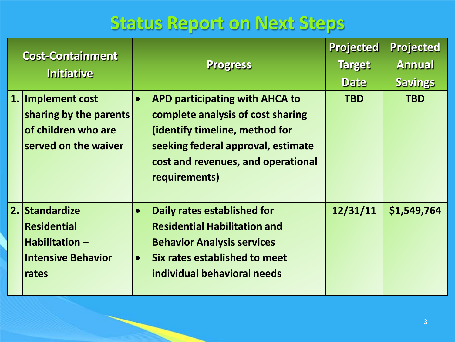#### **Status Report on Next Steps**

| <b>Cost-Containment</b><br><b>Initiative</b> |                                                                                             | <b>Progress</b> |                                                                                                                                                                                                           | <b>Projected</b><br><b>Target</b><br><b>Date</b> | <b>Projected</b><br><b>Annual</b><br><b>Savings</b> |
|----------------------------------------------|---------------------------------------------------------------------------------------------|-----------------|-----------------------------------------------------------------------------------------------------------------------------------------------------------------------------------------------------------|--------------------------------------------------|-----------------------------------------------------|
|                                              | 1. Implement cost<br>sharing by the parents<br>of children who are<br>served on the waiver  | $\bullet$       | <b>APD participating with AHCA to</b><br>complete analysis of cost sharing<br>(identify timeline, method for<br>seeking federal approval, estimate<br>cost and revenues, and operational<br>requirements) | <b>TBD</b>                                       | <b>TBD</b>                                          |
|                                              | 2. Standardize<br><b>Residential</b><br>Habilitation-<br><b>Intensive Behavior</b><br>rates | $\bullet$       | Daily rates established for<br><b>Residential Habilitation and</b><br><b>Behavior Analysis services</b><br>Six rates established to meet<br>individual behavioral needs                                   | 12/31/11                                         | \$1,549,764                                         |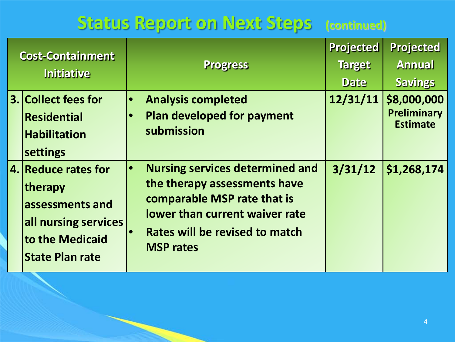#### **Status Report on Next Steps (continued)**

| <b>Cost-Containment</b><br><b>Initiative</b> |                                                                                                                        | <b>Progress</b>                                                                                                                                                                               | <b>Projected</b><br><b>Target</b><br><b>Date</b> | <b>Projected</b><br><b>Annual</b><br><b>Savings</b>  |  |
|----------------------------------------------|------------------------------------------------------------------------------------------------------------------------|-----------------------------------------------------------------------------------------------------------------------------------------------------------------------------------------------|--------------------------------------------------|------------------------------------------------------|--|
|                                              | 3. Collect fees for<br><b>Residential</b><br><b>Habilitation</b><br>settings                                           | <b>Analysis completed</b><br><b>Plan developed for payment</b><br>submission                                                                                                                  | 12/31/11                                         | \$8,000,000<br><b>Preliminary</b><br><b>Estimate</b> |  |
|                                              | 4. Reduce rates for<br>therapy<br>assessments and<br>all nursing services<br>to the Medicaid<br><b>State Plan rate</b> | <b>Nursing services determined and</b><br>the therapy assessments have<br>comparable MSP rate that is<br>lower than current waiver rate<br>Rates will be revised to match<br><b>MSP rates</b> | 3/31/12                                          | \$1,268,174                                          |  |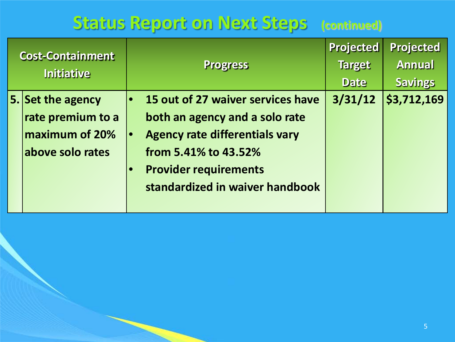#### **Status Report on Next Steps (continued)**

| <b>Cost-Containment</b><br><b>Initiative</b> |                                                                              | <b>Progress</b>                                                                                                                                                                                         | <b>Projected</b><br><b>Target</b><br><b>Date</b> | <b>Projected</b><br><b>Annual</b><br><b>Savings</b> |
|----------------------------------------------|------------------------------------------------------------------------------|---------------------------------------------------------------------------------------------------------------------------------------------------------------------------------------------------------|--------------------------------------------------|-----------------------------------------------------|
|                                              | 5. Set the agency<br>rate premium to a<br>maximum of 20%<br>above solo rates | 15 out of 27 waiver services have<br>both an agency and a solo rate<br><b>Agency rate differentials vary</b><br>from 5.41% to 43.52%<br><b>Provider requirements</b><br>standardized in waiver handbook | 3/31/12                                          | \$3,712,169                                         |